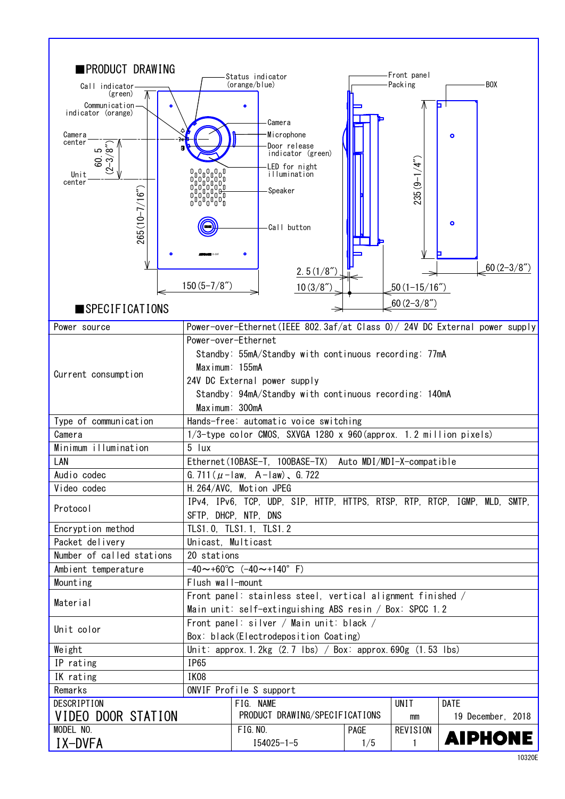| ∎PRODUCT DRAWING                     |                                                                                                  | Status indicator                                                             |      | Front panel               |                   |  |
|--------------------------------------|--------------------------------------------------------------------------------------------------|------------------------------------------------------------------------------|------|---------------------------|-------------------|--|
| Call indicator                       |                                                                                                  | (orange/blue)                                                                |      | Packing                   | BOX-              |  |
| (green)                              |                                                                                                  |                                                                              |      |                           |                   |  |
| Communication-<br>indicator (orange) |                                                                                                  | ۰                                                                            |      |                           | ь.                |  |
|                                      |                                                                                                  | Camera                                                                       |      |                           |                   |  |
| Camera<br>center                     |                                                                                                  | Microphone                                                                   |      |                           | $\bullet$         |  |
| ത വ                                  | п                                                                                                | Door release<br>indicator (green)                                            |      |                           |                   |  |
| 80.<br>್ರ                            |                                                                                                  | LED for night                                                                |      |                           |                   |  |
| $\mathfrak{S}$<br>Unit<br>center     |                                                                                                  | illumination                                                                 |      |                           |                   |  |
|                                      |                                                                                                  | Speaker                                                                      |      | $235(9 - 1/4")$           |                   |  |
|                                      |                                                                                                  |                                                                              |      |                           |                   |  |
|                                      |                                                                                                  |                                                                              |      |                           | ۰                 |  |
| $265(10 - 7/16"$                     |                                                                                                  | Call button                                                                  |      |                           |                   |  |
|                                      |                                                                                                  |                                                                              |      |                           |                   |  |
|                                      |                                                                                                  | ۰                                                                            |      |                           |                   |  |
|                                      |                                                                                                  | 2.5(1/8")                                                                    |      |                           | $.60(2-3/8'')$    |  |
|                                      | $150(5 - 7/8'')$                                                                                 | 10(3/8 <sup>''</sup> )                                                       |      | $50(1 - 15/16")$          |                   |  |
|                                      |                                                                                                  |                                                                              |      | $.60(2-3/8")$             |                   |  |
| $\blacksquare$ SPECIFICATIONS        |                                                                                                  | Power-over-Ethernet (IEEE 802.3af/at Class 0) / 24V DC External power supply |      |                           |                   |  |
| Power source                         |                                                                                                  | Power-over-Ethernet                                                          |      |                           |                   |  |
|                                      |                                                                                                  |                                                                              |      |                           |                   |  |
|                                      | Standby: 55mA/Standby with continuous recording: 77mA                                            |                                                                              |      |                           |                   |  |
| Current consumption                  | Maximum: 155mA                                                                                   |                                                                              |      |                           |                   |  |
|                                      | 24V DC External power supply<br>Standby: 94mA/Standby with continuous recording: 140mA           |                                                                              |      |                           |                   |  |
|                                      | Maximum: 300mA                                                                                   |                                                                              |      |                           |                   |  |
| Type of communication                |                                                                                                  | Hands-free: automatic voice switching                                        |      |                           |                   |  |
| Camera                               |                                                                                                  | 1/3-type color CMOS, SXVGA 1280 x 960 (approx. 1.2 million pixels)           |      |                           |                   |  |
| Minimum illumination                 | 5 lux                                                                                            |                                                                              |      |                           |                   |  |
| LAN                                  |                                                                                                  | Ethernet (10BASE-T, 100BASE-TX)                                              |      | Auto MDI/MDI-X-compatible |                   |  |
| Audio codec                          |                                                                                                  | G. 711 ( $\mu$ - law, A - law), G. 722                                       |      |                           |                   |  |
| Video codec                          |                                                                                                  | H. 264/AVC, Motion JPEG                                                      |      |                           |                   |  |
|                                      |                                                                                                  | IPv4, IPv6, TCP, UDP, SIP, HTTP, HTTPS, RTSP, RTP, RTCP, IGMP, MLD, SMTP,    |      |                           |                   |  |
| Protocol                             | SFTP, DHCP, NTP, DNS                                                                             |                                                                              |      |                           |                   |  |
| Encryption method                    | TLS1.0, TLS1.1, TLS1.2                                                                           |                                                                              |      |                           |                   |  |
| Packet delivery                      | Unicast, Multicast                                                                               |                                                                              |      |                           |                   |  |
| Number of called stations            | 20 stations                                                                                      |                                                                              |      |                           |                   |  |
| Ambient temperature                  | $-40 \sim +60^{\circ}$ C $(-40 \sim +140^{\circ}$ F)                                             |                                                                              |      |                           |                   |  |
| Mounting                             | Flush wall-mount                                                                                 |                                                                              |      |                           |                   |  |
| Material                             | Front panel: stainless steel, vertical alignment finished /                                      |                                                                              |      |                           |                   |  |
|                                      | Main unit: self-extinguishing ABS resin / Box: SPCC 1.2                                          |                                                                              |      |                           |                   |  |
| Unit color                           | Front panel: silver / Main unit: black /                                                         |                                                                              |      |                           |                   |  |
| Weight                               | Box: black (Electrodeposition Coating)                                                           |                                                                              |      |                           |                   |  |
| IP rating                            | Unit: approx. 1. 2kg $(2.7 \text{ lbs})$ / Box: approx. 690g $(1.53 \text{ lbs})$<br><b>IP65</b> |                                                                              |      |                           |                   |  |
| IK rating                            | IK08                                                                                             |                                                                              |      |                           |                   |  |
| Remarks                              | ONVIF Profile S support                                                                          |                                                                              |      |                           |                   |  |
| <b>DESCRIPTION</b>                   |                                                                                                  | FIG. NAME                                                                    |      | <b>UNIT</b>               | DATE              |  |
| VIDEO DOOR STATION                   |                                                                                                  | PRODUCT DRAWING/SPECIFICATIONS<br>mm                                         |      |                           | 19 December, 2018 |  |
| MODEL NO.                            |                                                                                                  | FIG. NO.                                                                     | PAGE | <b>REVISION</b>           |                   |  |
| IX-DVFA                              |                                                                                                  | $I54025 - 1 - 5$                                                             | 1/5  | 1                         | <b>AIPHONE</b>    |  |
|                                      |                                                                                                  |                                                                              |      |                           |                   |  |

 $\overline{\phantom{a}}$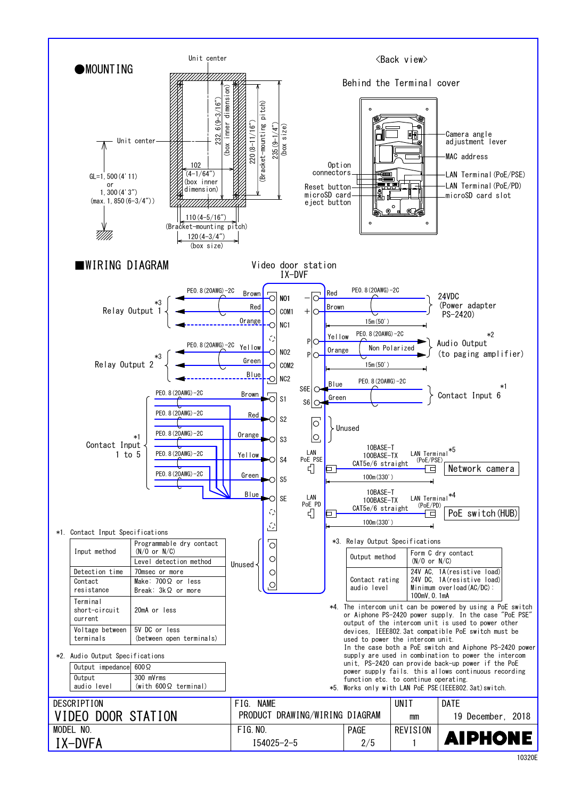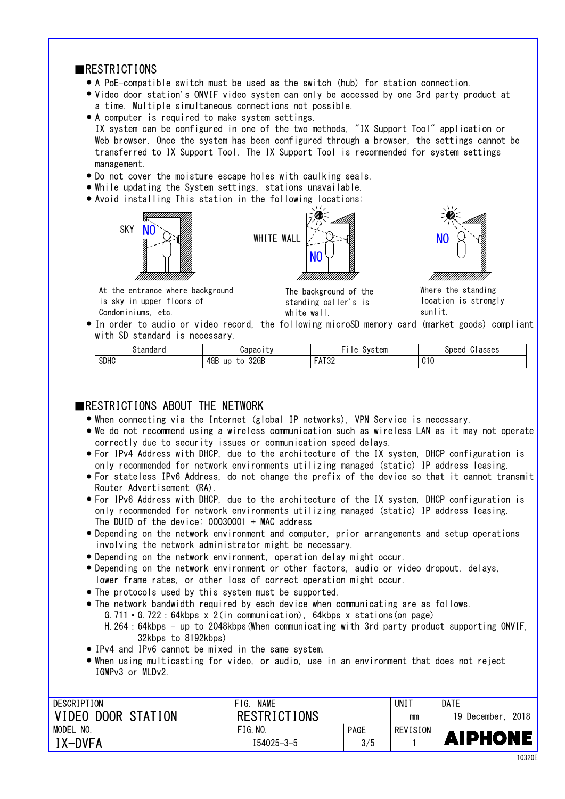## ■RESTRICTIONS

- A PoE-compatible switch must be used as the switch (hub) for station connection.
- Video door station's ONVIF video system can only be accessed by one 3rd party product at a time. Multiple simultaneous connections not possible.
- A computer is required to make system settings. transferred to IX Support Tool. The IX Support Tool is recommended for system settings IX system can be configured in one of the two methods, "IX Support Tool" application or Web browser. Once the system has been configured through a browser, the settings cannot be management.
- Do not cover the moisture escape holes with caulking seals. ●
- While updating the System settings, stations unavailable.
- Avoid installing This station in the following locations; ●







At the entrance where background is sky in upper floors of Condominiums, etc.

The background of the standing caller's is white wall.

Where the standing location is strongly sunlit.

● In order to audio or video record, the following microSD memory card (market goods) compliant with SD standard is necessary.

| †andar      | <b>Japacity</b>         | - -<br>System<br>ہ ا<br>ັບ         | $\sim$<br>Classes<br>Speed |
|-------------|-------------------------|------------------------------------|----------------------------|
| <b>SDHC</b> | 4GB<br>32GB<br>up<br>to | <b>FITOO</b><br>- 0<br><b>AIJL</b> | C10                        |

## ■RESTRICTIONS ABOUT THE NETWORK

- When connecting via the Internet (global IP networks), VPN Service is necessary.
- We do not recommend using a wireless communication such as wireless LAN as it may not operate correctly due to security issues or communication speed delays.
- For IPv4 Address with DHCP, due to the architecture of the IX system, DHCP configuration is only recommended for network environments utilizing managed (static) IP address leasing.
- For stateless IPv6 Address, do not change the prefix of the device so that it cannot transmit Router Advertisement (RA).
- only recommended for network environments utilizing managed (static) IP address leasing. ● For IPv6 Address with DHCP, due to the architecture of the IX system, DHCP configuration is The DUID of the device: 00030001 + MAC address
- Depending on the network environment and computer, prior arrangements and setup operations involving the network administrator might be necessary.
- Depending on the network environment, operation delay might occur. ●
- lower frame rates, or other loss of correct operation might occur. • Depending on the network environment or other factors, audio or video dropout, delays,
- The protocols used by this system must be supported. ●
- The network bandwidth required by each device when communicating are as follows. G.711  $\cdot$  G.722 : 64kbps x 2(in communication), 64kbps x stations(on page) H.264:64kbps - up to 2048kbps(When communicating with 3rd party product supporting ONVIF, 32kbps to 8192kbps)
- IPv4 and IPv6 cannot be mixed in the same system.
- IGMPv3 or MLDv2. When using multicasting for video, or audio, use in an environment that does not reject ●

| DESCRIPTION        | <b>NAME</b><br>FIG. |             | UN I     | DATE                   |
|--------------------|---------------------|-------------|----------|------------------------|
| VIDEO DOOR STATION | <b>RESTRICTIONS</b> |             | mm       | 2018<br>19<br>December |
| NO.<br>MODEL       | FIG. N0.            | <b>PAGE</b> | REVISION |                        |
| $IX-DVFA$          | I54025-3-5          | 3/5         |          | <b>AIPHONE</b>         |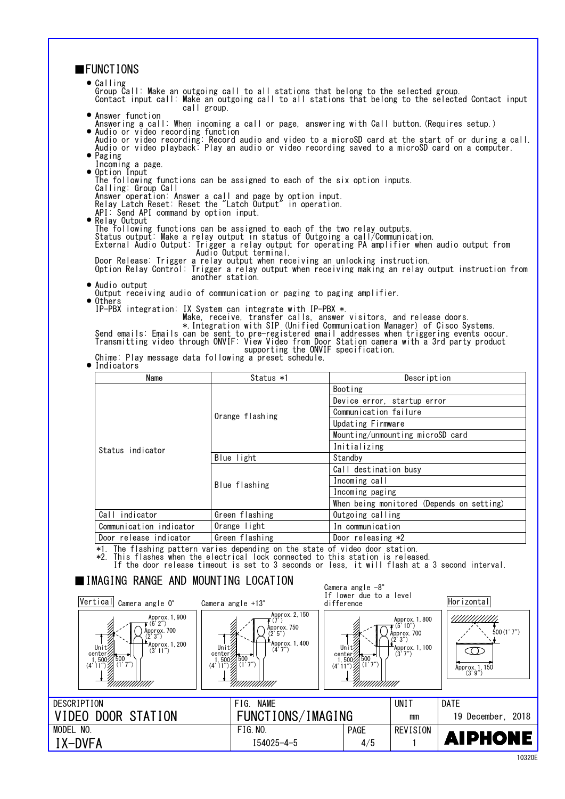| <b>■FUNCTIONS</b>                                                                                                                                                                                                                                                                                                                                                                 |                                                                                                                                                                                                          |                                                              |                                                                                   |                                                                  |  |
|-----------------------------------------------------------------------------------------------------------------------------------------------------------------------------------------------------------------------------------------------------------------------------------------------------------------------------------------------------------------------------------|----------------------------------------------------------------------------------------------------------------------------------------------------------------------------------------------------------|--------------------------------------------------------------|-----------------------------------------------------------------------------------|------------------------------------------------------------------|--|
| $\bullet$ Calling<br>Group Call: Make an outgoing call to all stations that belong to the selected group.<br>Contact input call: Make an outgoing call to all stations that belong to the selected Contact input<br>call group.                                                                                                                                                   |                                                                                                                                                                                                          |                                                              |                                                                                   |                                                                  |  |
| • Answer function<br>Answering a call: When incoming a call or page, answering with Call button. (Requires setup.)<br>· Audio or video recording function<br>Audio or video recording: Record audio and video to a microSD card at the start of or during a call.<br>Audio or video playback: Play an audio or video recording saved to a microSD card on a computer.<br>• Paging |                                                                                                                                                                                                          |                                                              |                                                                                   |                                                                  |  |
| Incoming a page.<br>• Option Input                                                                                                                                                                                                                                                                                                                                                |                                                                                                                                                                                                          |                                                              |                                                                                   |                                                                  |  |
| Calling: Group Call                                                                                                                                                                                                                                                                                                                                                               | The following functions can be assigned to each of the six option inputs.                                                                                                                                |                                                              |                                                                                   |                                                                  |  |
| API: Send API command by option input.                                                                                                                                                                                                                                                                                                                                            | Answer operation: Answer a call and page by option input.<br>Relay Latch Reset: Reset the "Latch Output" in operation.                                                                                   |                                                              |                                                                                   |                                                                  |  |
| • Relay Output<br>The following functions can be assigned to each of the two relay outputs.<br>Status output: Make a relay output in status of Outgoing a call/Communication.<br>External Audio Output: Trigger a relay output for operating PA amplifier when audio output from<br>Audio Output terminal.                                                                        |                                                                                                                                                                                                          |                                                              |                                                                                   |                                                                  |  |
|                                                                                                                                                                                                                                                                                                                                                                                   | Door Release: Trigger a relay output when receiving an unlocking instruction.<br>Option Relay Control: Trigger a relay output when receiving making an relay output instruction from<br>another station. |                                                              |                                                                                   |                                                                  |  |
| • Audio output                                                                                                                                                                                                                                                                                                                                                                    | Output receiving audio of communication or paging to paging amplifier.                                                                                                                                   |                                                              |                                                                                   |                                                                  |  |
| $\bullet$ Others                                                                                                                                                                                                                                                                                                                                                                  | IP-PBX integration: IX System can integrate with IP-PBX *.                                                                                                                                               |                                                              |                                                                                   |                                                                  |  |
| Make, receive, transfer calls, answer visitors, and release doors.<br>Emails and telease duors.<br>Send emails: Emails can be sent to pre-registered email addresses when triggering events occur.<br>Transmitting video through ONVIF: View Video from Door Station camera with a 3rd party product<br>supporting the ONVIF specification.                                       |                                                                                                                                                                                                          |                                                              |                                                                                   |                                                                  |  |
| Chime: Play message data following a preset schedule.<br>$\bullet$ Indicators                                                                                                                                                                                                                                                                                                     |                                                                                                                                                                                                          |                                                              |                                                                                   |                                                                  |  |
| Name                                                                                                                                                                                                                                                                                                                                                                              | Status *1                                                                                                                                                                                                |                                                              | Description                                                                       |                                                                  |  |
|                                                                                                                                                                                                                                                                                                                                                                                   |                                                                                                                                                                                                          | Booting<br>Device error, startup error                       |                                                                                   |                                                                  |  |
|                                                                                                                                                                                                                                                                                                                                                                                   | Orange flashing                                                                                                                                                                                          | Communication failure                                        |                                                                                   |                                                                  |  |
|                                                                                                                                                                                                                                                                                                                                                                                   |                                                                                                                                                                                                          | Updating Firmware                                            |                                                                                   |                                                                  |  |
|                                                                                                                                                                                                                                                                                                                                                                                   |                                                                                                                                                                                                          | Mounting/unmounting microSD card                             |                                                                                   |                                                                  |  |
| Status indicator                                                                                                                                                                                                                                                                                                                                                                  |                                                                                                                                                                                                          | Initializing                                                 |                                                                                   |                                                                  |  |
|                                                                                                                                                                                                                                                                                                                                                                                   | Blue light                                                                                                                                                                                               | Standby                                                      |                                                                                   |                                                                  |  |
|                                                                                                                                                                                                                                                                                                                                                                                   |                                                                                                                                                                                                          | Call destination busy                                        |                                                                                   |                                                                  |  |
|                                                                                                                                                                                                                                                                                                                                                                                   | Blue flashing                                                                                                                                                                                            | Incoming call<br>Incoming paging                             |                                                                                   |                                                                  |  |
|                                                                                                                                                                                                                                                                                                                                                                                   |                                                                                                                                                                                                          | When being monitored (Depends on setting)                    |                                                                                   |                                                                  |  |
| Call indicator                                                                                                                                                                                                                                                                                                                                                                    | Green flashing                                                                                                                                                                                           | Outgoing calling                                             |                                                                                   |                                                                  |  |
| Communication indicator                                                                                                                                                                                                                                                                                                                                                           | Orange light                                                                                                                                                                                             | In communication                                             |                                                                                   |                                                                  |  |
| Door release indicator                                                                                                                                                                                                                                                                                                                                                            | Green flashing                                                                                                                                                                                           | Door releasing *2                                            |                                                                                   |                                                                  |  |
| *1. The flashing pattern varies depending on the state of video door station.<br>*2. This flashes when the electrical lock connected to this station is released.<br>If the door release timeout is set to 3 seconds or less, it will flash at a 3 second interval.                                                                                                               |                                                                                                                                                                                                          |                                                              |                                                                                   |                                                                  |  |
| IIMAGING RANGE AND MOUNTING LOCATION                                                                                                                                                                                                                                                                                                                                              |                                                                                                                                                                                                          | Camera angle $-8^\circ$<br>If lower due to a level           |                                                                                   |                                                                  |  |
| Vertical <sub>Camera angle O°</sub>                                                                                                                                                                                                                                                                                                                                               | Camera angle $+13^\circ$                                                                                                                                                                                 | difference                                                   |                                                                                   | Horizontal                                                       |  |
| Approx. 1, 900<br>$\tau$ (6' 2″)<br>Approx. 700<br>' 3″)<br>Approx. 1, 200<br>Unit<br>(3'11'')<br>center?<br>$1,500/500$<br>(4' 11") (1'<br>(1'7'')<br>777777777777777                                                                                                                                                                                                            | Approx. 2, 150<br>(7')<br>Approx. 750<br>(2, 5)<br>Approx. 1, 400<br>Unit<br>(4'7'')<br>center<br>1, 500<br>(4' 11")<br>(1'<br>(1'7'')<br>777777777777777                                                | Unit<br>center;<br>$(4' 11'')$ $(1' 7'')$<br>777777777777777 | Approx. 1, 800<br>(5' 10")<br>Ápprox. 700<br>(2'3'')<br>Approx. 1, 100<br>(3'7'') | /////////////<br>500(1'7'')<br>C ()<br>Approx. 1, 150<br>(3'9'') |  |
|                                                                                                                                                                                                                                                                                                                                                                                   |                                                                                                                                                                                                          |                                                              |                                                                                   |                                                                  |  |
| <b>DESCRIPTION</b>                                                                                                                                                                                                                                                                                                                                                                | FIG. NAME                                                                                                                                                                                                |                                                              | UNIT                                                                              | <b>DATE</b>                                                      |  |
| VIDEO DOOR STATION                                                                                                                                                                                                                                                                                                                                                                | FUNCTIONS/IMAGING                                                                                                                                                                                        |                                                              | mm                                                                                | 19 December, 2018                                                |  |
| MODEL NO.                                                                                                                                                                                                                                                                                                                                                                         | <b>FIG. NO.</b>                                                                                                                                                                                          | PAGE                                                         | <b>REVISION</b>                                                                   | <b>AIPHONE</b>                                                   |  |
| IX-DVFA                                                                                                                                                                                                                                                                                                                                                                           | $I54025 - 4 - 5$                                                                                                                                                                                         | 4/5                                                          | 1                                                                                 |                                                                  |  |